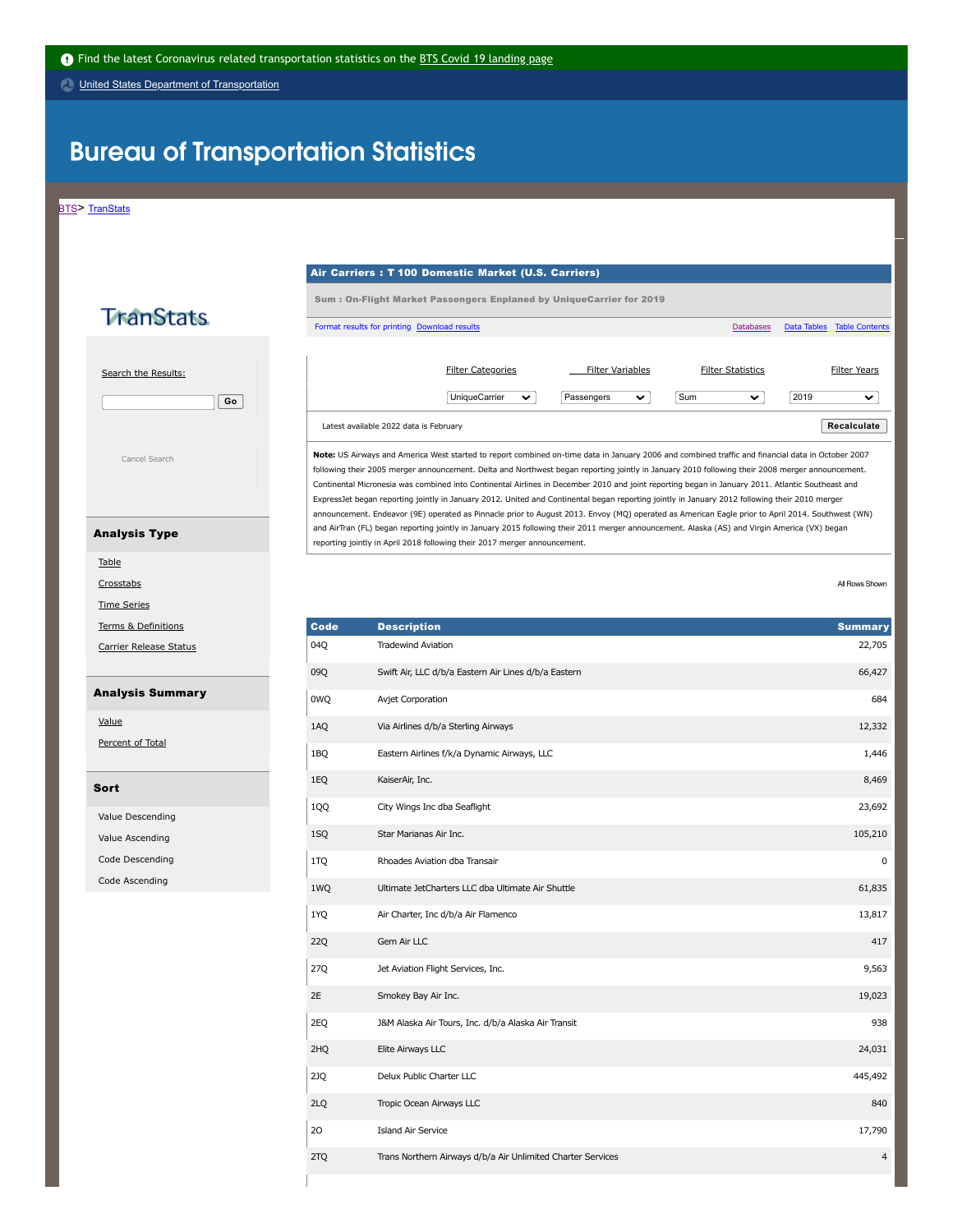United States Department of [Transportation](http://www.transportation.gov/)

# **Bureau of Transportation Statistics**

[BTS>](https://www.bts.gov/) [TranStats](https://www.transtats.bts.gov/Homepage.asp)

#### - Air Carriers : T 100 Domestic Market (U.S. Carriers)

Sum : On-Flight Market Passengers Enplaned by UniqueCarrier for 2019

## **TranStats**

 Search the [Results:](javascript:displayHelp(300,450,"FINDAROW")) **Go**



 **Note:** US Airways and America West started to report combined on-time data in January 2006 and combined traffic and financial data in October 2007 following their 2005 merger announcement. Delta and Northwest began reporting jointly in January 2010 following their 2008 merger announcement. Continental Micronesia was combined into Continental Airlines in December 2010 and joint reporting began in January 2011. Atlantic Southeast and ExpressJet began reporting jointly in January 2012. United and Continental began reporting jointly in January 2012 following their 2010 merger announcement. Endeavor (9E) operated as Pinnacle prior to August 2013. Envoy (MQ) operated as American Eagle prior to April 2014. Southwest (WN) and AirTran (FL) began reporting jointly in January 2015 following their 2011 merger announcement. Alaska (AS) and Virgin America (VX) began reporting jointly in April 2018 following their 2017 merger announcement.

Format results for [printing](javascript:newWindow("printOneway.asp?P74_e19=D&5146_14qr4=&5146_p1y7z0=&frn4pu_Y11x72=&n22yB_4n6r=a1%22);) [Download](https://www.transtats.bts.gov/Download_Oneway.asp?f146_b4qr4=&f146_P1y7z0=) results **[Databases](https://www.transtats.bts.gov/databases.asp?Z1qr_VQ=E&Z1qr_Qr5p=N8vn6v10&f7owrp6_VQF=D) Databases Databases Data Table [Contents](https://www.transtats.bts.gov/Fields.asp?6noyr_vq=FIL)** Data Table Contents

Latest available 2022 data is February **Recalculate**

UniqueCarrier  $\blacktriangledown$  Passengers  $\blacktriangledown$  Sum  $\blacktriangledown$  2019

Filter [Categories](javascript:displayHelp(350,450,"FILTERCATS")) **Filter [Variables](javascript:displayHelp(350,450,"FILTERVARS"))** Filter [Statistics](javascript:displayHelp(350,450,"FILTERSTATS")) Filter [Years](javascript:displayHelp(350,450,"FILTERYEARS"))

 $\overline{a}$ 

All Rows Shown [Crosstabs](https://www.transtats.bts.gov/Crosstabs.asp?N22yB_en6r=a1&sv0q=e19) All Rows Shown

 $\overline{\mathbf{v}}$ 

| Code       | <b>Description</b>                                          | <b>Summary</b> |
|------------|-------------------------------------------------------------|----------------|
| 04Q        | <b>Tradewind Aviation</b>                                   | 22,705         |
| 09Q        | Swift Air, LLC d/b/a Eastern Air Lines d/b/a Eastern        | 66,427         |
| 0WQ        | Avjet Corporation                                           | 684            |
| 1AQ        | Via Airlines d/b/a Sterling Airways                         | 12,332         |
| 1BQ        | Eastern Airlines f/k/a Dynamic Airways, LLC                 | 1,446          |
| 1EQ        | KaiserAir, Inc.                                             | 8,469          |
| 1QQ        | City Wings Inc dba Seaflight                                | 23,692         |
| 1SQ        | Star Marianas Air Inc.                                      | 105,210        |
| 1TQ        | Rhoades Aviation dba Transair                               | 0              |
| 1WQ        | Ultimate JetCharters LLC dba Ultimate Air Shuttle           | 61,835         |
| 1YQ        | Air Charter, Inc d/b/a Air Flamenco                         | 13,817         |
| <b>22Q</b> | Gem Air LLC                                                 | 417            |
| 27Q        | Jet Aviation Flight Services, Inc.                          | 9,563          |
| 2E         | Smokey Bay Air Inc.                                         | 19,023         |
| 2EQ        | J&M Alaska Air Tours, Inc. d/b/a Alaska Air Transit         | 938            |
| 2HQ        | Elite Airways LLC                                           | 24,031         |
| 2JQ        | Delux Public Charter LLC                                    | 445,492        |
| 2LQ        | Tropic Ocean Airways LLC                                    | 840            |
| 20         | <b>Island Air Service</b>                                   | 17,790         |
| 2TQ        | Trans Northern Airways d/b/a Air Unlimited Charter Services | 4              |

#### Analysis Type

[Table](https://www.transtats.bts.gov/Oneway.asp?20=E&Qv52ynB_Synt=D&N22yB_en6r=a1&f146_P1y7z0=&f146_b4qr4=)

Time [Series](https://www.transtats.bts.gov/TimeSeries.asp?N22yB_en6r=a1)

Terms & [Definitions](https://www.transtats.bts.gov/TableInfo.asp?#TermsDef)

Carrier [Release](https://www.transtats.bts.gov/releaseinfo.asp?6o=FIL&qv52ynB=qn6n) Status

### Analysis Summary

[Value](https://www.transtats.bts.gov/Oneway.asp?20=D&frn4pu_Y11x72=&cr4pr06_Synt=D&NccYl_eNgR=a1)

[Percent](https://www.transtats.bts.gov/Oneway.asp?20=D&frn4pu_Y11x72=&cr4pr06_Synt=E&NccYl_eNgR=a1) of Total

#### Sort

Value [Descending](https://www.transtats.bts.gov/Oneway.asp?20=E&f146_P1y7z0=F&f146_b4qr4=E&NccYl_eNgR=a1)

Value [Ascending](https://www.transtats.bts.gov/Oneway.asp?20=E&f146_P1y7z0=F&f146_b4qr4=F&NccYl_eNgR=a1)

Code [Descending](https://www.transtats.bts.gov/Oneway.asp?20=E&f146_P1y7z0=E&f146_b4qr4=E&NccYl_eNgR=a1)

Code [Ascending](https://www.transtats.bts.gov/Oneway.asp?20=E&f146_P1y7z0=E&f146_b4qr4=F&NccYl_eNgR=a1)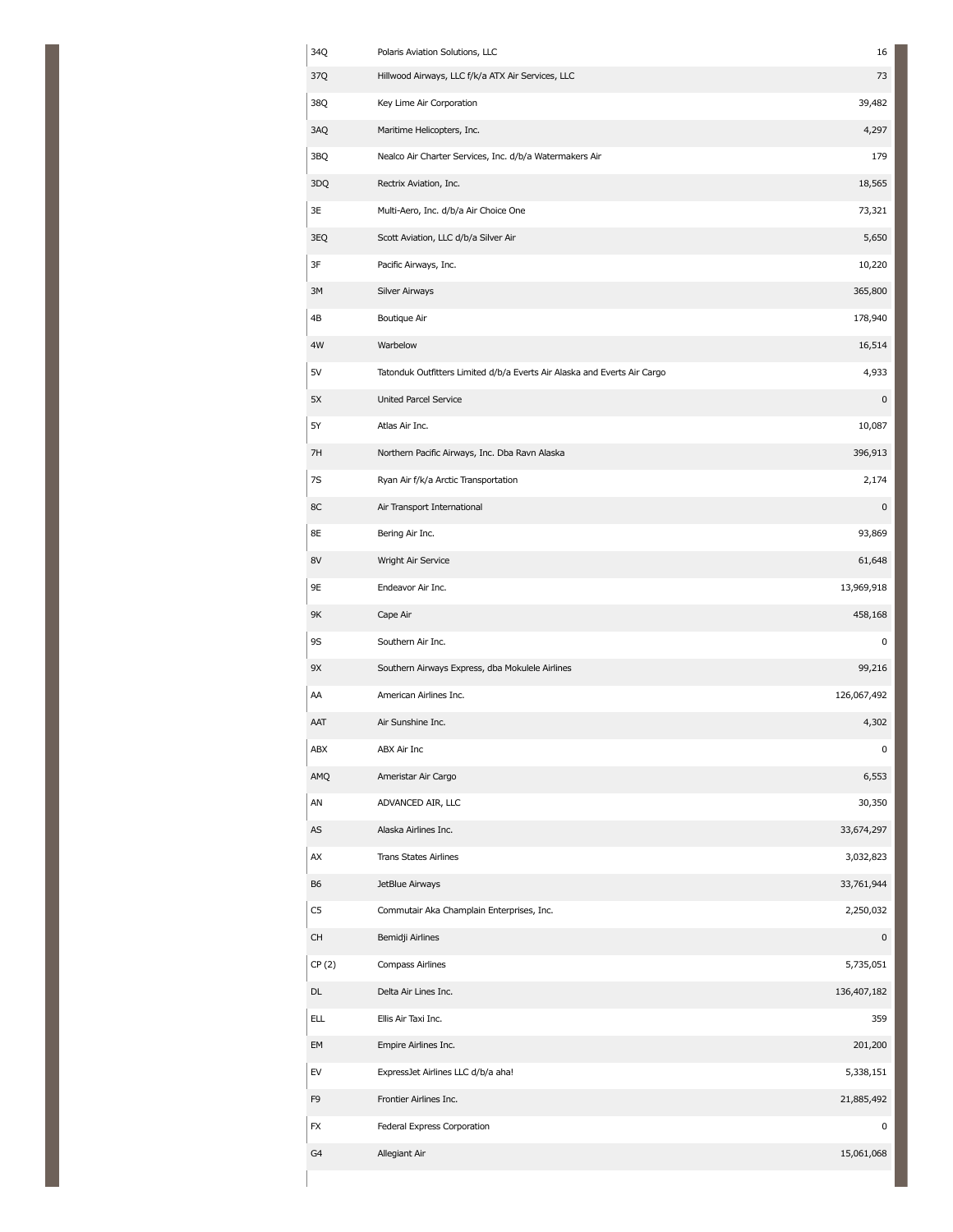| 34Q        | Polaris Aviation Solutions, LLC                                          | 16          |
|------------|--------------------------------------------------------------------------|-------------|
| 37Q        | Hillwood Airways, LLC f/k/a ATX Air Services, LLC                        | 73          |
| 38Q        | Key Lime Air Corporation                                                 | 39,482      |
| 3AQ        | Maritime Helicopters, Inc.                                               | 4,297       |
| 3BQ        | Nealco Air Charter Services, Inc. d/b/a Watermakers Air                  | 179         |
| 3DQ        | Rectrix Aviation, Inc.                                                   | 18,565      |
| 3E         | Multi-Aero, Inc. d/b/a Air Choice One                                    | 73,321      |
| 3EQ        | Scott Aviation, LLC d/b/a Silver Air                                     | 5,650       |
| 3F         | Pacific Airways, Inc.                                                    | 10,220      |
| 3M         | Silver Airways                                                           | 365,800     |
| 4B         | Boutique Air                                                             | 178,940     |
| 4W         | Warbelow                                                                 | 16,514      |
| 5V         | Tatonduk Outfitters Limited d/b/a Everts Air Alaska and Everts Air Cargo | 4,933       |
| 5X         | United Parcel Service                                                    | 0           |
| 5Y         | Atlas Air Inc.                                                           | 10,087      |
| 7H         | Northern Pacific Airways, Inc. Dba Ravn Alaska                           | 396,913     |
| 7S         | Ryan Air f/k/a Arctic Transportation                                     | 2,174       |
| 8C         | Air Transport International                                              | 0           |
| 8E         | Bering Air Inc.                                                          | 93,869      |
| 8V         | Wright Air Service                                                       | 61,648      |
| 9E         | Endeavor Air Inc.                                                        | 13,969,918  |
| 9K         | Cape Air                                                                 | 458,168     |
| 9S         | Southern Air Inc.                                                        | 0           |
| 9X         | Southern Airways Express, dba Mokulele Airlines                          | 99,216      |
| AA         | American Airlines Inc.                                                   | 126,067,492 |
| AAT        | Air Sunshine Inc.                                                        | 4,302       |
| ABX        | ABX Air Inc                                                              | 0           |
| AMO        | Ameristar Air Cargo                                                      | 6,553       |
| AN         | ADVANCED AIR, LLC                                                        | 30,350      |
| AS         | Alaska Airlines Inc.                                                     | 33,674,297  |
| AX         | <b>Trans States Airlines</b>                                             | 3,032,823   |
| B6         | JetBlue Airways                                                          | 33,761,944  |
| C5         | Commutair Aka Champlain Enterprises, Inc.                                | 2,250,032   |
| <b>CH</b>  | Bemidji Airlines                                                         | $\pmb{0}$   |
| CP(2)      | Compass Airlines                                                         | 5,735,051   |
| DL         | Delta Air Lines Inc.                                                     | 136,407,182 |
| <b>ELL</b> | Ellis Air Taxi Inc.                                                      | 359         |
| EM         | Empire Airlines Inc.                                                     | 201,200     |
| EV         | ExpressJet Airlines LLC d/b/a aha!                                       | 5,338,151   |
| F9         | Frontier Airlines Inc.                                                   | 21,885,492  |
| FX         | Federal Express Corporation                                              | 0           |
| G4         | Allegiant Air                                                            | 15,061,068  |
|            |                                                                          |             |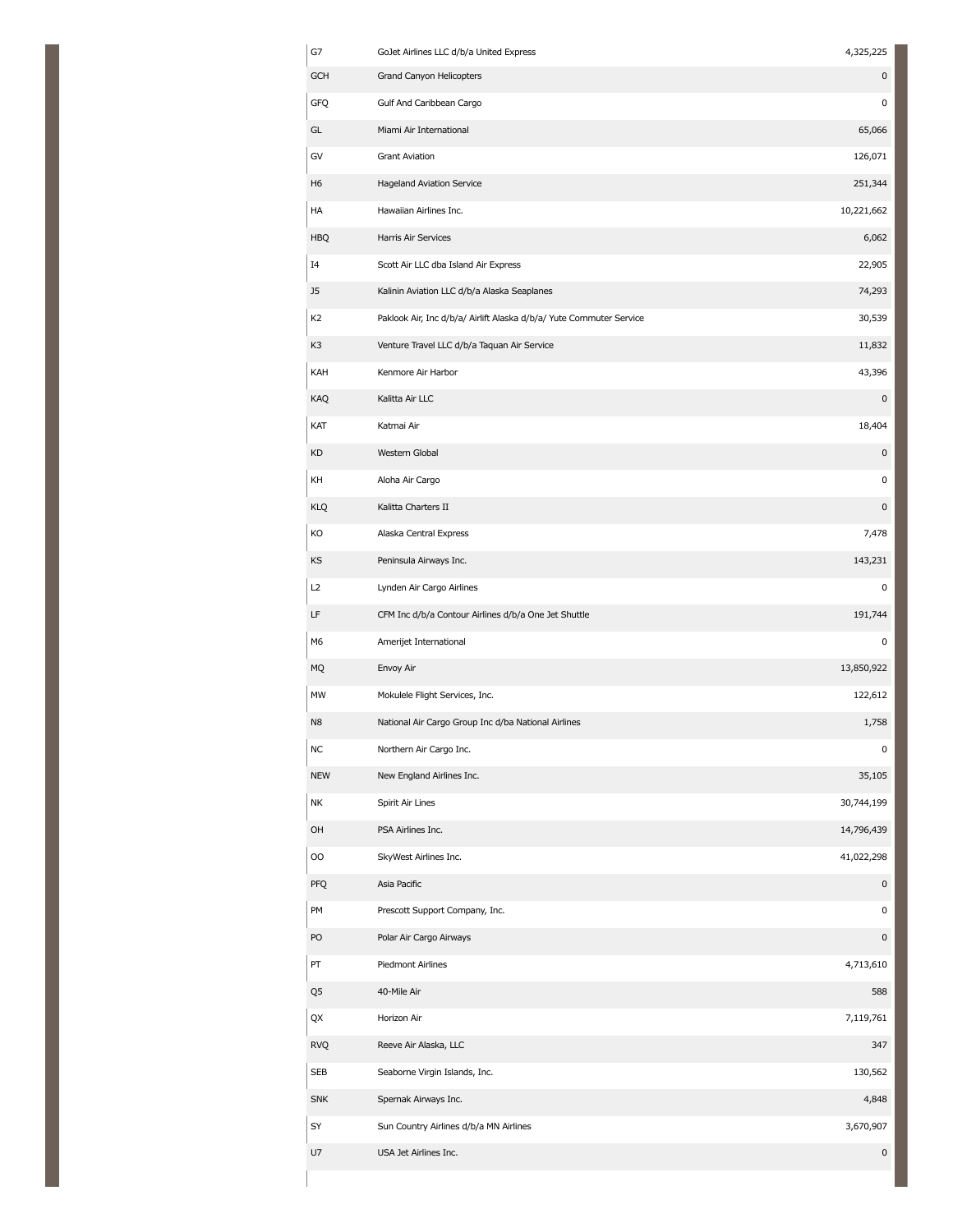| G7             | GoJet Airlines LLC d/b/a United Express                             | 4,325,225           |
|----------------|---------------------------------------------------------------------|---------------------|
| <b>GCH</b>     | Grand Canyon Helicopters                                            | 0                   |
| GFQ            | Gulf And Caribbean Cargo                                            | $\pmb{0}$           |
| GL             | Miami Air International                                             | 65,066              |
| GV             | <b>Grant Aviation</b>                                               | 126,071             |
| H <sub>6</sub> | <b>Hageland Aviation Service</b>                                    | 251,344             |
| HA             | Hawaiian Airlines Inc.                                              | 10,221,662          |
| <b>HBQ</b>     | Harris Air Services                                                 | 6,062               |
| I4             | Scott Air LLC dba Island Air Express                                | 22,905              |
| J5             | Kalinin Aviation LLC d/b/a Alaska Seaplanes                         | 74,293              |
| K <sub>2</sub> | Paklook Air, Inc d/b/a/ Airlift Alaska d/b/a/ Yute Commuter Service | 30,539              |
| K3             | Venture Travel LLC d/b/a Taquan Air Service                         | 11,832              |
| KAH            | Kenmore Air Harbor                                                  | 43,396              |
| KAQ            | Kalitta Air LLC                                                     | 0                   |
| KAT            | Katmai Air                                                          | 18,404              |
| KD             | Western Global                                                      | $\pmb{0}$           |
| KH             | Aloha Air Cargo                                                     | $\pmb{0}$           |
| KLQ            | Kalitta Charters II                                                 | 0                   |
| KO             | Alaska Central Express                                              | 7,478               |
| KS             | Peninsula Airways Inc.                                              | 143,231             |
| L2             | Lynden Air Cargo Airlines                                           | $\pmb{0}$           |
| LF             | CFM Inc d/b/a Contour Airlines d/b/a One Jet Shuttle                | 191,744             |
| M6             | Amerijet International                                              | 0                   |
| <b>MQ</b>      | Envoy Air                                                           | 13,850,922          |
| MW             | Mokulele Flight Services, Inc.                                      | 122,612             |
| N <sub>8</sub> | National Air Cargo Group Inc d/ba National Airlines                 | 1,758               |
| NС             | Northern Air Cargo Inc.                                             | 0                   |
| <b>NEW</b>     | New England Airlines Inc.                                           | 35,105              |
| NΚ             | Spirit Air Lines                                                    | 30,744,199          |
| OH             | PSA Airlines Inc.                                                   | 14,796,439          |
| OO             | SkyWest Airlines Inc.                                               | 41,022,298          |
| PFQ            | Asia Pacific                                                        | $\pmb{0}$           |
| PM             | Prescott Support Company, Inc.                                      | 0                   |
| PO             | Polar Air Cargo Airways                                             | $\pmb{0}$           |
| PT             | Piedmont Airlines                                                   | 4,713,610           |
| Q5             | 40-Mile Air                                                         | 588                 |
| QX             | Horizon Air                                                         | 7,119,761           |
| <b>RVQ</b>     | Reeve Air Alaska, LLC                                               | 347                 |
| SEB            | Seaborne Virgin Islands, Inc.                                       | 130,562             |
| <b>SNK</b>     | Spernak Airways Inc.                                                | 4,848               |
| SY             | Sun Country Airlines d/b/a MN Airlines                              | 3,670,907           |
| U7             | USA Jet Airlines Inc.                                               | $\mathsf{O}\xspace$ |
|                |                                                                     |                     |